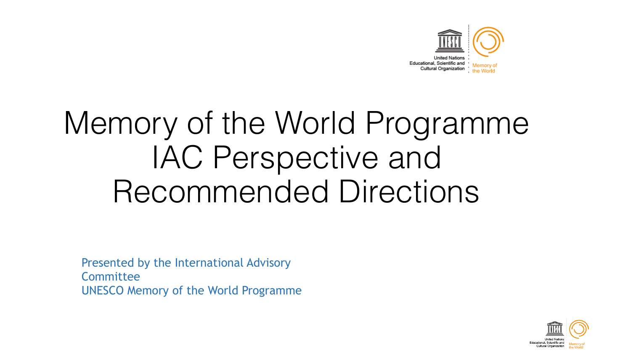

# Memory of the World Programme IAC Perspective and Recommended Directions

Presented by the International Advisory **Committee** UNESCO Memory of the World Programme

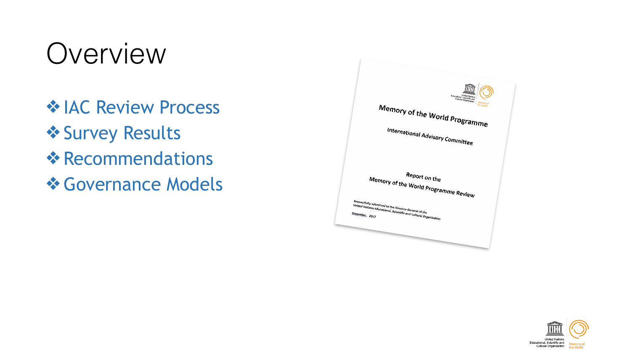## Overview

❖ IAC Review Process ❖ Survey Results ❖ Recommendations ❖ Governance Models



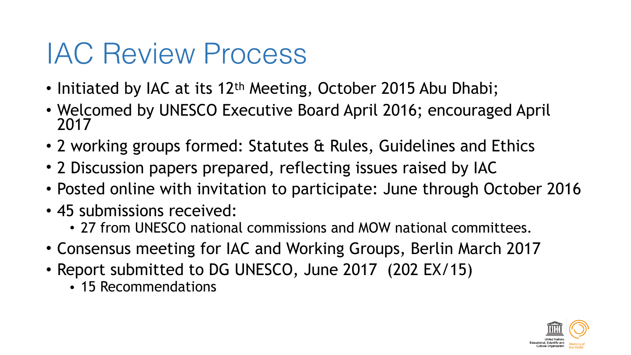## IAC Review Process

- Initiated by IAC at its 12<sup>th</sup> Meeting, October 2015 Abu Dhabi;
- Welcomed by UNESCO Executive Board April 2016; encouraged April 2017
- 2 working groups formed: Statutes & Rules, Guidelines and Ethics
- 2 Discussion papers prepared, reflecting issues raised by IAC
- Posted online with invitation to participate: June through October 2016
- 45 submissions received:
	- 27 from UNESCO national commissions and MOW national committees.
- Consensus meeting for IAC and Working Groups, Berlin March 2017
- Report submitted to DG UNESCO, June 2017 (202 EX/15)
	- 15 Recommendations

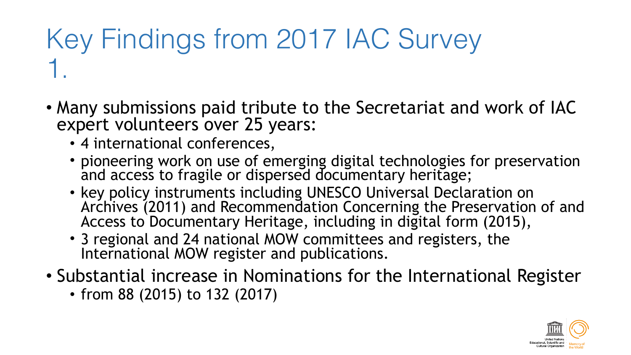### Key Findings from 2017 IAC Survey 1.

- Many submissions paid tribute to the Secretariat and work of IAC expert volunteers over 25 years:
	- 4 international conferences,
	- pioneering work on use of emerging digital technologies for preservation and access to fragile or dispersed documentary heritage;
	- key policy instruments including UNESCO Universal Declaration on Archives (2011) and Recommendation Concerning the Preservation of and Access to Documentary Heritage, including in digital form (2015),
	- 3 regional and 24 national MOW committees and registers, the International MOW register and publications.
- Substantial increase in Nominations for the International Register
	- from 88 (2015) to 132 (2017)

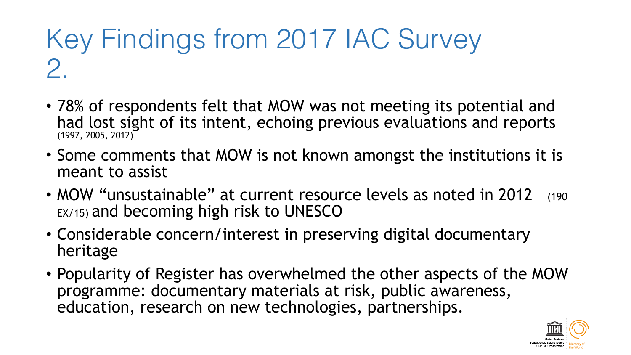### Key Findings from 2017 IAC Survey 2.

- 78% of respondents felt that MOW was not meeting its potential and had lost sight of its intent, echoing previous evaluations and reports (1997, 2005, 2012)
- Some comments that MOW is not known amongst the institutions it is meant to assist
- MOW "unsustainable" at current resource levels as noted in 2012 (190) EX/15) and becoming high risk to UNESCO
- Considerable concern/interest in preserving digital documentary heritage
- Popularity of Register has overwhelmed the other aspects of the MOW programme: documentary materials at risk, public awareness, education, research on new technologies, partnerships.

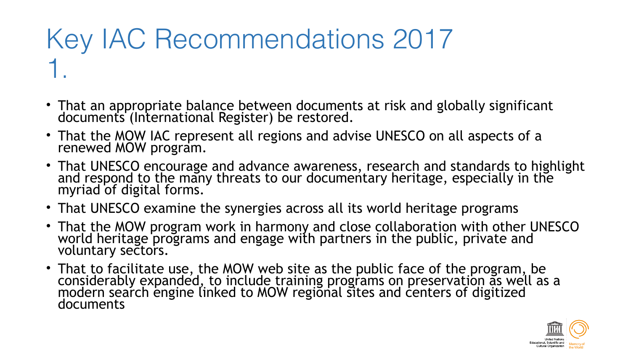## Key IAC Recommendations 2017 1.

- That an appropriate balance between documents at risk and globally significant documents (International Register) be restored.
- That the MOW IAC represent all regions and advise UNESCO on all aspects of a renewed MOW program.
- That UNESCO encourage and advance awareness, research and standards to highlight and respond to the many threats to our documentary heritage, especially in the myriad of digital forms.
- That UNESCO examine the synergies across all its world heritage programs
- That the MOW program work in harmony and close collaboration with other UNESCO world heritage programs and engage with partners in the public, private and voluntary sectors.
- That to facilitate use, the MOW web site as the public face of the program, be considerably expanded, to include training programs on preservation as well as a modern search engine linked to MOW regional sites and centers of digitized documents

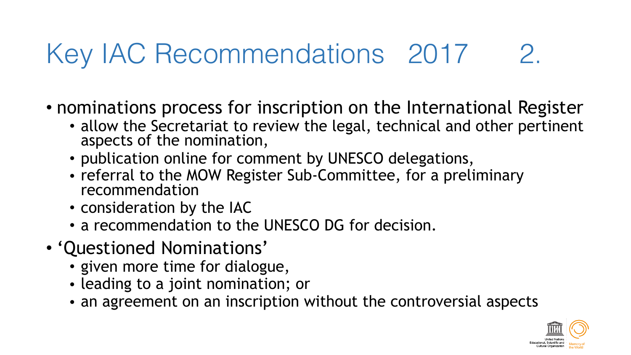## Key IAC Recommendations 2017 2.

• nominations process for inscription on the International Register

- allow the Secretariat to review the legal, technical and other pertinent aspects of the nomination,
- publication online for comment by UNESCO delegations,
- referral to the MOW Register Sub-Committee, for a preliminary recommendation
- consideration by the IAC
- a recommendation to the UNESCO DG for decision.
- 'Questioned Nominations'
	- given more time for dialogue,
	- leading to a joint nomination; or
	- an agreement on an inscription without the controversial aspects

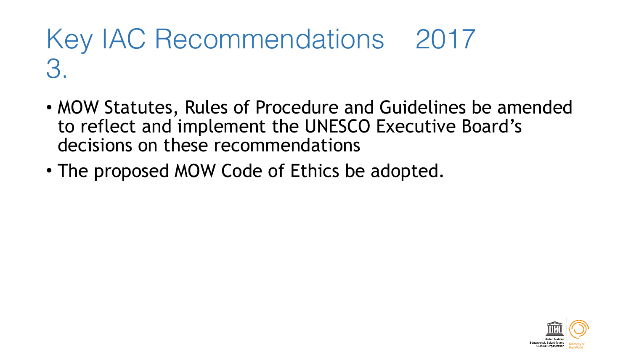#### Key IAC Recommendations 2017 3.

- MOW Statutes, Rules of Procedure and Guidelines be amended to reflect and implement the UNESCO Executive Board's decisions on these recommendations
- The proposed MOW Code of Ethics be adopted.

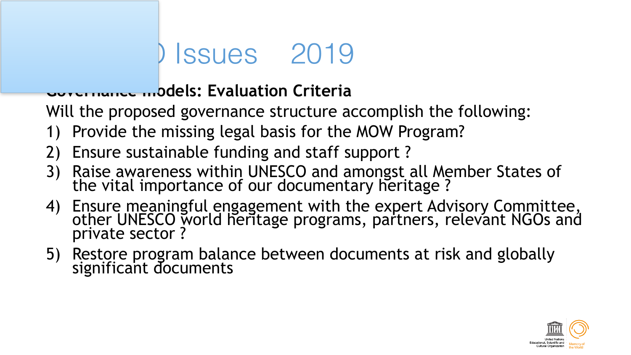## Issues 2019

#### **Governance models: Evaluation Criteria**

Will the proposed governance structure accomplish the following:

- 1) Provide the missing legal basis for the MOW Program?
- 2) Ensure sustainable funding and staff support ?
- 3) Raise awareness within UNESCO and amongst all Member States of the vital importance of our documentary heritage ?
- 4) Ensure meaningful engagement with the expert Advisory Committee, other UNESCO world heritage programs, partners, relevant NGOs and private sector ?
- 5) Restore program balance between documents at risk and globally significant documents

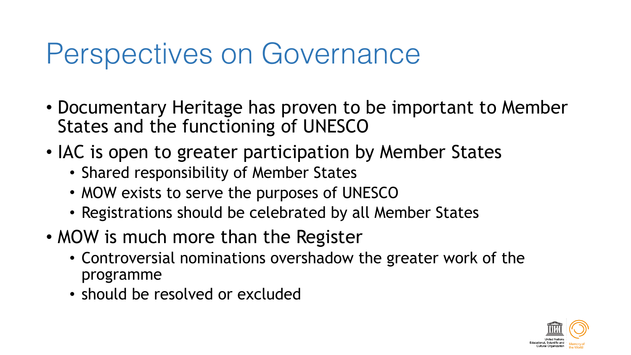## Perspectives on Governance

- Documentary Heritage has proven to be important to Member States and the functioning of UNESCO
- IAC is open to greater participation by Member States
	- Shared responsibility of Member States
	- MOW exists to serve the purposes of UNESCO
	- Registrations should be celebrated by all Member States
- MOW is much more than the Register
	- Controversial nominations overshadow the greater work of the programme
	- should be resolved or excluded

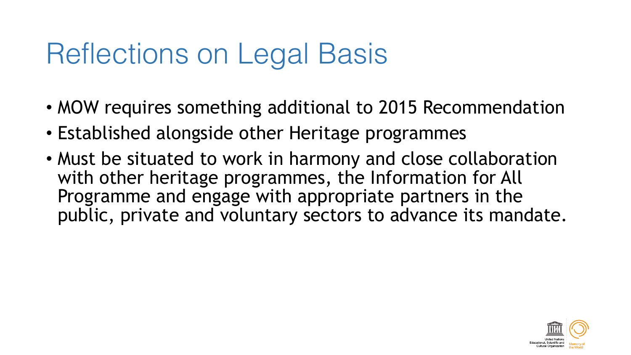## Reflections on Legal Basis

- MOW requires something additional to 2015 Recommendation
- Established alongside other Heritage programmes
- Must be situated to work in harmony and close collaboration with other heritage programmes, the Information for All Programme and engage with appropriate partners in the public, private and voluntary sectors to advance its mandate.